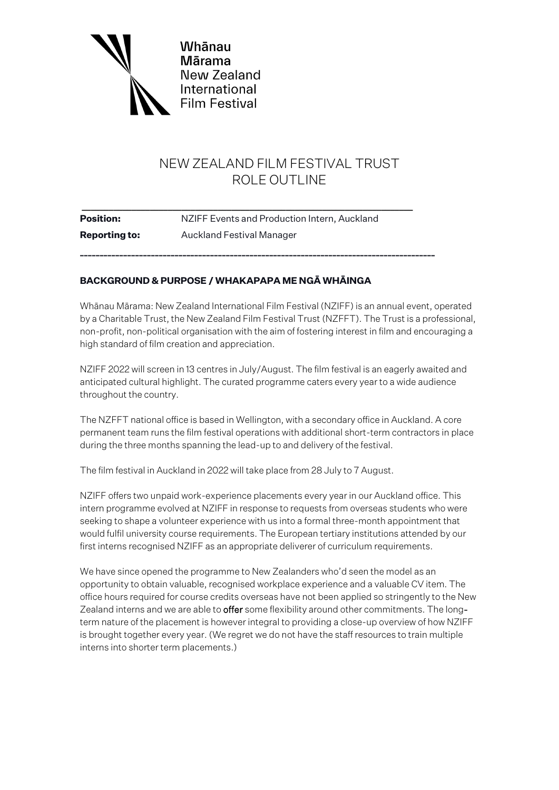

# NEW ZEALAND FILM FESTIVAL TRUST ROLE OUTLINE

| <b>Position:</b>     | NZIFF Events and Production Intern, Auckland |  |
|----------------------|----------------------------------------------|--|
| <b>Reporting to:</b> | Auckland Festival Manager                    |  |
|                      |                                              |  |

# **BACKGROUND & PURPOSE / WHAKAPAPA ME NGĀ WHĀINGA**

Whānau Mārama: New Zealand International Film Festival (NZIFF) is an annual event, operated by a Charitable Trust, the New Zealand Film Festival Trust (NZFFT). The Trust is a professional, non-profit, non-political organisation with the aim of fostering interest in film and encouraging a high standard of film creation and appreciation.

NZIFF 2022 will screen in 13 centres in July/August. The film festival is an eagerly awaited and anticipated cultural highlight. The curated programme caters every year to a wide audience throughout the country.

The NZFFT national office is based in Wellington, with a secondary office in Auckland. A core permanent team runs the film festival operations with additional short-term contractors in place during the three months spanning the lead-up to and delivery of the festival.

The film festival in Auckland in 2022 will take place from 28 July to 7 August.

NZIFF offers two unpaid work-experience placements every year in our Auckland office. This intern programme evolved at NZIFF in response to requests from overseas students who were seeking to shape a volunteer experience with us into a formal three-month appointment that would fulfil university course requirements. The European tertiary institutions attended by our first interns recognised NZIFF as an appropriate deliverer of curriculum requirements.

We have since opened the programme to New Zealanders who'd seen the model as an opportunity to obtain valuable, recognised workplace experience and a valuable CV item. The office hours required for course credits overseas have not been applied so stringently to the New Zealand interns and we are able to offer some flexibility around other commitments. The longterm nature of the placement is however integral to providing a close-up overview of how NZIFF is brought together every year. (We regret we do not have the staff resources to train multiple interns into shorter term placements.)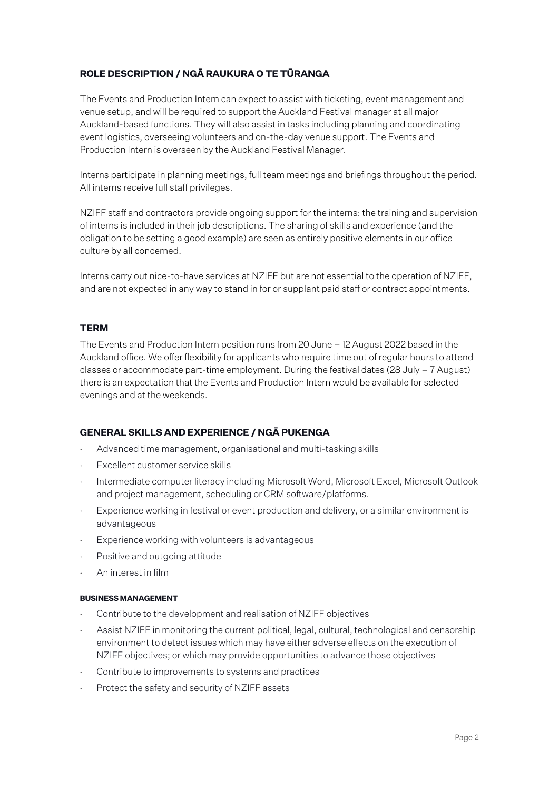# **ROLE DESCRIPTION / NGĀ RAUKURA O TE TŪRANGA**

The Events and Production Intern can expect to assist with ticketing, event management and venue setup, and will be required to support the Auckland Festival manager at all major Auckland-based functions. They will also assist in tasks including planning and coordinating event logistics, overseeing volunteers and on-the-day venue support. The Events and Production Intern is overseen by the Auckland Festival Manager.

Interns participate in planning meetings, full team meetings and briefings throughout the period. All interns receive full staff privileges.

NZIFF staff and contractors provide ongoing support for the interns: the training and supervision of interns is included in their job descriptions. The sharing of skills and experience (and the obligation to be setting a good example) are seen as entirely positive elements in our office culture by all concerned.

Interns carry out nice-to-have services at NZIFF but are not essential to the operation of NZIFF, and are not expected in any way to stand in for or supplant paid staff or contract appointments.

## **TERM**

The Events and Production Intern position runs from 20 June – 12 August 2022 based in the Auckland office. We offer flexibility for applicants who require time out of regular hours to attend classes or accommodate part-time employment. During the festival dates (28 July – 7 August) there is an expectation that the Events and Production Intern would be available for selected evenings and at the weekends.

## **GENERAL SKILLS AND EXPERIENCE / NGĀ PUKENGA**

- Advanced time management, organisational and multi-tasking skills
- Excellent customer service skills
- ⋅ Intermediate computer literacy including Microsoft Word, Microsoft Excel, Microsoft Outlook and project management, scheduling or CRM software/platforms.
- Experience working in festival or event production and delivery, or a similar environment is advantageous
- Experience working with volunteers is advantageous
- Positive and outgoing attitude
- ⋅ An interest in film

#### **BUSINESS MANAGEMENT**

- Contribute to the development and realisation of NZIFF objectives
- Assist NZIFF in monitoring the current political, legal, cultural, technological and censorship environment to detect issues which may have either adverse effects on the execution of NZIFF objectives; or which may provide opportunities to advance those objectives
- Contribute to improvements to systems and practices
- Protect the safety and security of NZIFF assets